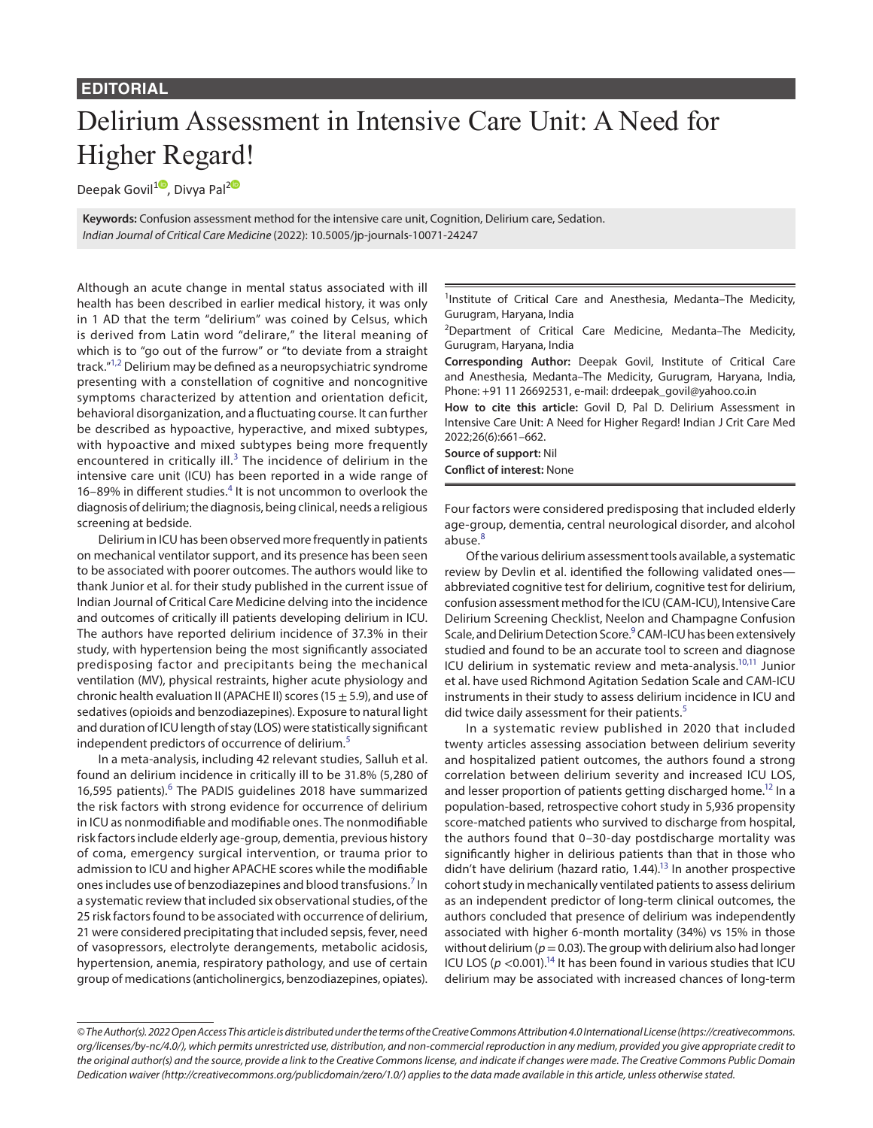## **EDITORIAL**

## Delirium Assessment in Intensive Care Unit: A Need for Higher Regard!

Deepak Govil<sup>[1](https://orcid.org/0000-0002-4624-1614)0</sup>, Divya Pal<sup>[2](https://orcid.org/0000-0002-1607-3816)0</sup>

**Keywords:** Confusion assessment method for the intensive care unit, Cognition, Delirium care, Sedation. *Indian Journal of Critical Care Medicine* (2022): 10.5005/jp-journals-10071-24247

Although an acute change in mental status associated with ill health has been described in earlier medical history, it was only in 1 AD that the term "delirium" was coined by Celsus, which is derived from Latin word "delirare," the literal meaning of which is to "go out of the furrow" or "to deviate from a straight track."[1,](#page-1-0)[2](#page-1-1) Delirium may be defined as a neuropsychiatric syndrome presenting with a constellation of cognitive and noncognitive symptoms characterized by attention and orientation deficit, behavioral disorganization, and a fluctuating course. It can further be described as hypoactive, hyperactive, and mixed subtypes, with hypoactive and mixed subtypes being more frequently encountered in critically ill. $3$  The incidence of delirium in the intensive care unit (ICU) has been reported in a wide range of 16-89% in different studies.<sup>[4](#page-1-3)</sup> It is not uncommon to overlook the diagnosis of delirium; the diagnosis, being clinical, needs a religious screening at bedside.

Delirium in ICU has been observed more frequently in patients on mechanical ventilator support, and its presence has been seen to be associated with poorer outcomes. The authors would like to thank Junior et al. for their study published in the current issue of Indian Journal of Critical Care Medicine delving into the incidence and outcomes of critically ill patients developing delirium in ICU. The authors have reported delirium incidence of 37.3% in their study, with hypertension being the most significantly associated predisposing factor and precipitants being the mechanical ventilation (MV), physical restraints, higher acute physiology and chronic health evaluation II (APACHE II) scores (15  $\pm$  5.9), and use of sedatives (opioids and benzodiazepines). Exposure to natural light and duration of ICU length of stay (LOS) were statistically significant independent predictors of occurrence of delirium.<sup>[5](#page-1-4)</sup>

In a meta-analysis, including 42 relevant studies, Salluh et al. found an delirium incidence in critically ill to be 31.8% (5,280 of 1[6](#page-1-5),595 patients).<sup>6</sup> The PADIS guidelines 2018 have summarized the risk factors with strong evidence for occurrence of delirium in ICU as nonmodifiable and modifiable ones. The nonmodifiable risk factors include elderly age-group, dementia, previous history of coma, emergency surgical intervention, or trauma prior to admission to ICU and higher APACHE scores while the modifiable ones includes use of benzodiazepines and blood transfusions.<sup>[7](#page-1-6)</sup> In a systematic review that included six observational studies, of the 25 risk factors found to be associated with occurrence of delirium, 21 were considered precipitating that included sepsis, fever, need of vasopressors, electrolyte derangements, metabolic acidosis, hypertension, anemia, respiratory pathology, and use of certain group of medications (anticholinergics, benzodiazepines, opiates).

<sup>1</sup>Institute of Critical Care and Anesthesia, Medanta-The Medicity, Gurugram, Haryana, India

<sup>2</sup>Department of Critical Care Medicine, Medanta-The Medicity, Gurugram, Haryana, India

**Corresponding Author:** Deepak Govil, Institute of Critical Care and Anesthesia, Medanta–The Medicity, Gurugram, Haryana, India, Phone: +91 11 26692531, e-mail: drdeepak\_govil@yahoo.co.in

**How to cite this article:** Govil D, Pal D. Delirium Assessment in Intensive Care Unit: A Need for Higher Regard! Indian J Crit Care Med 2022;26(6):661–662.

**Source of support:** Nil

**Conflict of interest:** None

Four factors were considered predisposing that included elderly age-group, dementia, central neurological disorder, and alcohol abuse.<sup>[8](#page-1-7)</sup>

Of the various delirium assessment tools available, a systematic review by Devlin et al. identified the following validated ones abbreviated cognitive test for delirium, cognitive test for delirium, confusion assessment method for the ICU (CAM-ICU), Intensive Care Delirium Screening Checklist, Neelon and Champagne Confusion Scale, and Delirium Detection Score.<sup>[9](#page-1-8)</sup> CAM-ICU has been extensively studied and found to be an accurate tool to screen and diagnose ICU delirium in systematic review and meta-analysis.<sup>10[,11](#page-1-10)</sup> Junior et al. have used Richmond Agitation Sedation Scale and CAM-ICU instruments in their study to assess delirium incidence in ICU and did twice daily assessment for their patients.<sup>[5](#page-1-4)</sup>

In a systematic review published in 2020 that included twenty articles assessing association between delirium severity and hospitalized patient outcomes, the authors found a strong correlation between delirium severity and increased ICU LOS, and lesser proportion of patients getting discharged home.<sup>12</sup> In a population-based, retrospective cohort study in 5,936 propensity score-matched patients who survived to discharge from hospital, the authors found that 0–30-day postdischarge mortality was significantly higher in delirious patients than that in those who didn't have delirium (hazard ratio,  $1.44$ ).<sup>13</sup> In another prospective cohort study in mechanically ventilated patients to assess delirium as an independent predictor of long-term clinical outcomes, the authors concluded that presence of delirium was independently associated with higher 6-month mortality (34%) vs 15% in those without delirium ( $p = 0.03$ ). The group with delirium also had longer ICU LOS ( $p < 0.001$ ).<sup>14</sup> It has been found in various studies that ICU delirium may be associated with increased chances of long-term

*<sup>©</sup> The Author(s). 2022 Open Access This article is distributed under the terms of the Creative Commons Attribution 4.0 International License ([https://creativecommons.](https://creativecommons.org/licenses/by-nc/4.0/) [org/licenses/by-nc/4.0/](https://creativecommons.org/licenses/by-nc/4.0/)), which permits unrestricted use, distribution, and non-commercial reproduction in any medium, provided you give appropriate credit to the original author(s) and the source, provide a link to the Creative Commons license, and indicate if changes were made. The Creative Commons Public Domain Dedication waiver ([http://creativecommons.org/publicdomain/zero/1.0/\)](http://creativecommons.org/publicdomain/zero/1.0/) applies to the data made available in this article, unless otherwise stated.*